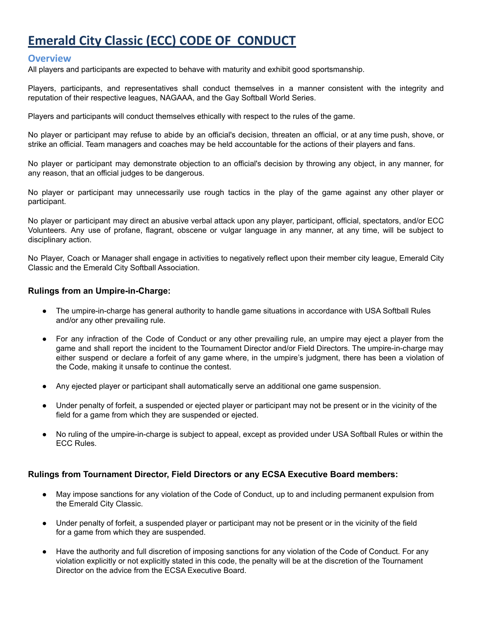# **Emerald City Classic (ECC) CODE OF CONDUCT**

### **Overview**

All players and participants are expected to behave with maturity and exhibit good sportsmanship.

Players, participants, and representatives shall conduct themselves in a manner consistent with the integrity and reputation of their respective leagues, NAGAAA, and the Gay Softball World Series.

Players and participants will conduct themselves ethically with respect to the rules of the game.

No player or participant may refuse to abide by an official's decision, threaten an official, or at any time push, shove, or strike an official. Team managers and coaches may be held accountable for the actions of their players and fans.

No player or participant may demonstrate objection to an official's decision by throwing any object, in any manner, for any reason, that an official judges to be dangerous.

No player or participant may unnecessarily use rough tactics in the play of the game against any other player or participant.

No player or participant may direct an abusive verbal attack upon any player, participant, official, spectators, and/or ECC Volunteers. Any use of profane, flagrant, obscene or vulgar language in any manner, at any time, will be subject to disciplinary action.

No Player, Coach or Manager shall engage in activities to negatively reflect upon their member city league, Emerald City Classic and the Emerald City Softball Association.

#### **Rulings from an Umpire-in-Charge:**

- The umpire-in-charge has general authority to handle game situations in accordance with USA Softball Rules and/or any other prevailing rule.
- For any infraction of the Code of Conduct or any other prevailing rule, an umpire may eject a player from the game and shall report the incident to the Tournament Director and/or Field Directors. The umpire-in-charge may either suspend or declare a forfeit of any game where, in the umpire's judgment, there has been a violation of the Code, making it unsafe to continue the contest.
- Any ejected player or participant shall automatically serve an additional one game suspension.
- Under penalty of forfeit, a suspended or ejected player or participant may not be present or in the vicinity of the field for a game from which they are suspended or ejected.
- No ruling of the umpire-in-charge is subject to appeal, except as provided under USA Softball Rules or within the ECC Rules.

#### **Rulings from Tournament Director, Field Directors or any ECSA Executive Board members:**

- May impose sanctions for any violation of the Code of Conduct, up to and including permanent expulsion from the Emerald City Classic.
- Under penalty of forfeit, a suspended player or participant may not be present or in the vicinity of the field for a game from which they are suspended.
- Have the authority and full discretion of imposing sanctions for any violation of the Code of Conduct. For any violation explicitly or not explicitly stated in this code, the penalty will be at the discretion of the Tournament Director on the advice from the ECSA Executive Board.